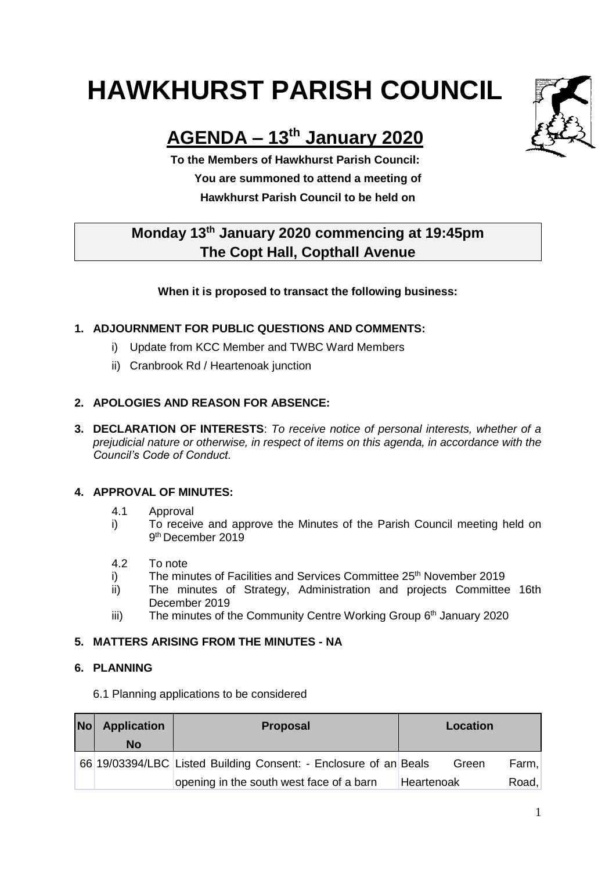# **HAWKHURST PARISH COUNCIL**



## **AGENDA – 13th January 2020**

**To the Members of Hawkhurst Parish Council: You are summoned to attend a meeting of Hawkhurst Parish Council to be held on**

### **Monday 13th January 2020 commencing at 19:45pm The Copt Hall, Copthall Avenue**

#### **When it is proposed to transact the following business:**

#### **1. ADJOURNMENT FOR PUBLIC QUESTIONS AND COMMENTS:**

- i) Update from KCC Member and TWBC Ward Members
- ii) Cranbrook Rd / Heartenoak junction

#### **2. APOLOGIES AND REASON FOR ABSENCE:**

**3. DECLARATION OF INTERESTS**: *To receive notice of personal interests, whether of a prejudicial nature or otherwise, in respect of items on this agenda, in accordance with the Council's Code of Conduct.*

#### **4. APPROVAL OF MINUTES:**

- 4.1 Approval
- i) To receive and approve the Minutes of the Parish Council meeting held on 9 th December 2019
- 4.2 To note
- i) The minutes of Facilities and Services Committee 25<sup>th</sup> November 2019
- ii) The minutes of Strategy, Administration and projects Committee 16th December 2019
- iii) The minutes of the Community Centre Working Group 6<sup>th</sup> January 2020

#### **5. MATTERS ARISING FROM THE MINUTES - NA**

#### **6. PLANNING**

6.1 Planning applications to be considered

| Nol | <b>Application</b> | <b>Proposal</b><br>Location                                      |       |       |
|-----|--------------------|------------------------------------------------------------------|-------|-------|
|     | No                 |                                                                  |       |       |
|     |                    | 66 19/03394/LBC Listed Building Consent: - Enclosure of an Beals | Green | Farm. |
|     |                    | opening in the south west face of a barn<br>Heartenoak           |       | Road, |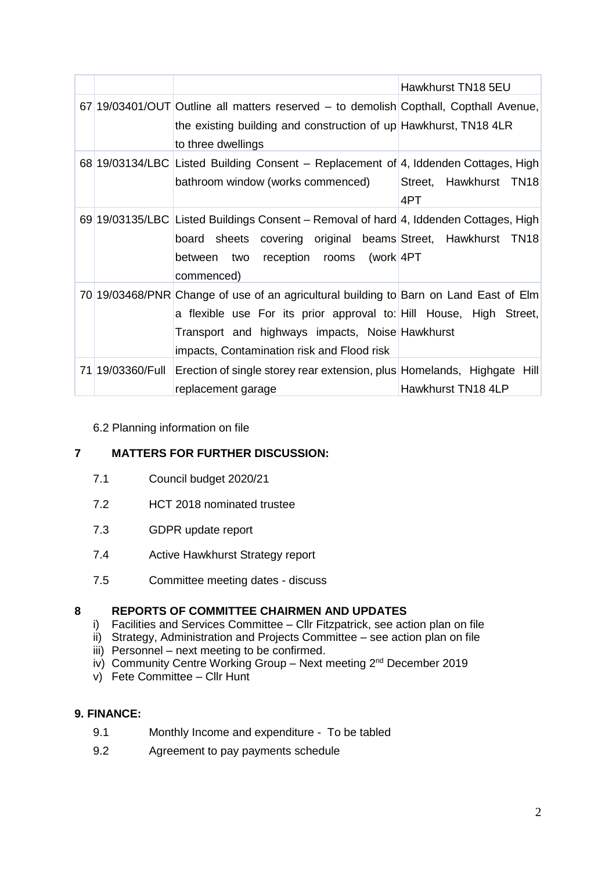|                  |                                                                                                                                                                                                                                                              | Hawkhurst TN18 5EU            |
|------------------|--------------------------------------------------------------------------------------------------------------------------------------------------------------------------------------------------------------------------------------------------------------|-------------------------------|
|                  | 67 19/03401/OUT Outline all matters reserved – to demolish Copthall, Copthall Avenue,<br>the existing building and construction of up Hawkhurst, TN18 4LR<br>to three dwellings                                                                              |                               |
|                  | 68 19/03134/LBC Listed Building Consent – Replacement of 4, Iddenden Cottages, High<br>bathroom window (works commenced)                                                                                                                                     | Street, Hawkhurst TN18<br>4PT |
|                  | 69 19/03135/LBC Listed Buildings Consent – Removal of hard 4, Iddenden Cottages, High<br>board sheets covering original beams Street, Hawkhurst TN18<br>between two reception rooms (work 4PT<br>commenced)                                                  |                               |
|                  | 70 19/03468/PNR Change of use of an agricultural building to Barn on Land East of Elm<br>a flexible use For its prior approval to: Hill House, High Street,<br>Transport and highways impacts, Noise Hawkhurst<br>impacts, Contamination risk and Flood risk |                               |
| 71 19/03360/Full | Erection of single storey rear extension, plus Homelands, Highgate Hill<br>replacement garage                                                                                                                                                                | Hawkhurst TN18 4LP            |

#### 6.2 Planning information on file

#### **7 MATTERS FOR FURTHER DISCUSSION:**

- 7.1 Council budget 2020/21
- 7.2 HCT 2018 nominated trustee
- 7.3 GDPR update report
- 7.4 Active Hawkhurst Strategy report
- 7.5 Committee meeting dates discuss

#### **8 REPORTS OF COMMITTEE CHAIRMEN AND UPDATES**

- i) Facilities and Services Committee Cllr Fitzpatrick, see action plan on file
- ii) Strategy, Administration and Projects Committee see action plan on file
- iii) Personnel next meeting to be confirmed.
- iv) Community Centre Working Group Next meeting  $2^{nd}$  December 2019
- v) Fete Committee Cllr Hunt

#### **9. FINANCE:**

- 9.1 Monthly Income and expenditure To be tabled
- 9.2 Agreement to pay payments schedule